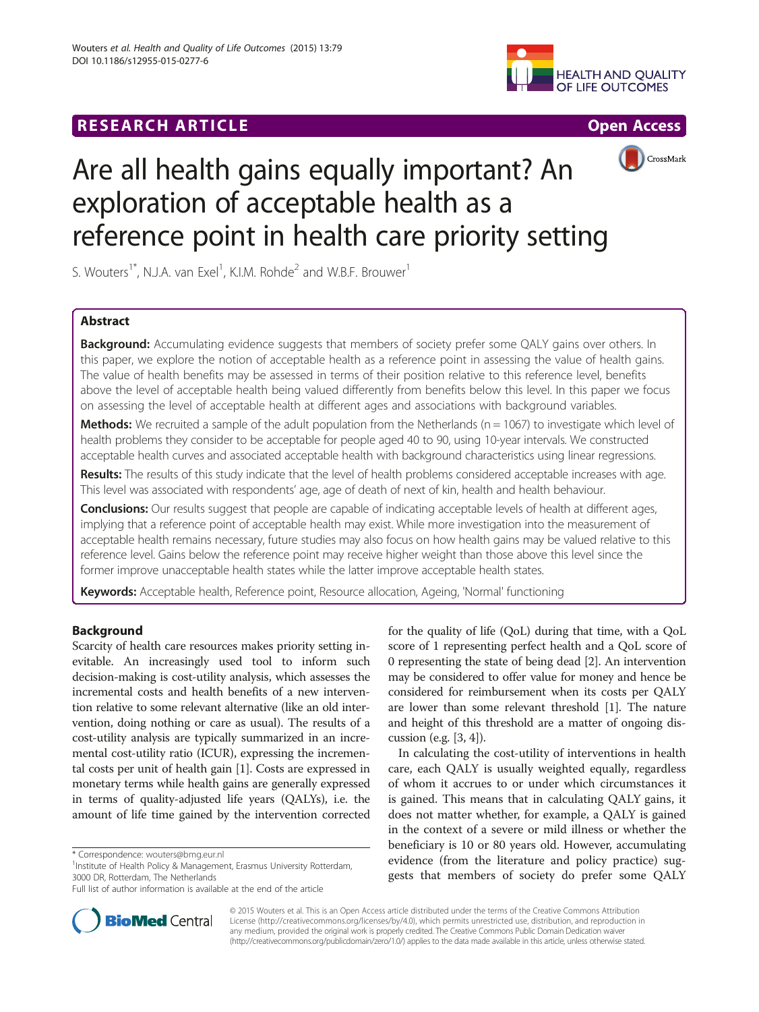# **RESEARCH ARTICLE Example 2014 12:30 THE Open Access**





# Are all health gains equally important? An exploration of acceptable health as a reference point in health care priority setting

S. Wouters<sup>1\*</sup>, N.J.A. van Exel<sup>1</sup>, K.I.M. Rohde<sup>2</sup> and W.B.F. Brouwer<sup>1</sup>

# Abstract

Background: Accumulating evidence suggests that members of society prefer some QALY gains over others. In this paper, we explore the notion of acceptable health as a reference point in assessing the value of health gains. The value of health benefits may be assessed in terms of their position relative to this reference level, benefits above the level of acceptable health being valued differently from benefits below this level. In this paper we focus on assessing the level of acceptable health at different ages and associations with background variables.

Methods: We recruited a sample of the adult population from the Netherlands ( $n = 1067$ ) to investigate which level of health problems they consider to be acceptable for people aged 40 to 90, using 10-year intervals. We constructed acceptable health curves and associated acceptable health with background characteristics using linear regressions.

Results: The results of this study indicate that the level of health problems considered acceptable increases with age. This level was associated with respondents' age, age of death of next of kin, health and health behaviour.

Conclusions: Our results suggest that people are capable of indicating acceptable levels of health at different ages, implying that a reference point of acceptable health may exist. While more investigation into the measurement of acceptable health remains necessary, future studies may also focus on how health gains may be valued relative to this reference level. Gains below the reference point may receive higher weight than those above this level since the former improve unacceptable health states while the latter improve acceptable health states.

Keywords: Acceptable health, Reference point, Resource allocation, Ageing, 'Normal' functioning

# Background

Scarcity of health care resources makes priority setting inevitable. An increasingly used tool to inform such decision-making is cost-utility analysis, which assesses the incremental costs and health benefits of a new intervention relative to some relevant alternative (like an old intervention, doing nothing or care as usual). The results of a cost-utility analysis are typically summarized in an incremental cost-utility ratio (ICUR), expressing the incremental costs per unit of health gain [\[1\]](#page-9-0). Costs are expressed in monetary terms while health gains are generally expressed in terms of quality-adjusted life years (QALYs), i.e. the amount of life time gained by the intervention corrected

\* Correspondence: [wouters@bmg.eur.nl](mailto:wouters@bmg.eur.nl) <sup>1</sup>

<sup>1</sup> Institute of Health Policy & Management, Erasmus University Rotterdam, 3000 DR, Rotterdam, The Netherlands



In calculating the cost-utility of interventions in health care, each QALY is usually weighted equally, regardless of whom it accrues to or under which circumstances it is gained. This means that in calculating QALY gains, it does not matter whether, for example, a QALY is gained in the context of a severe or mild illness or whether the beneficiary is 10 or 80 years old. However, accumulating evidence (from the literature and policy practice) suggests that members of society do prefer some QALY



© 2015 Wouters et al. This is an Open Access article distributed under the terms of the Creative Commons Attribution License [\(http://creativecommons.org/licenses/by/4.0](http://creativecommons.org/licenses/by/4.0)), which permits unrestricted use, distribution, and reproduction in any medium, provided the original work is properly credited. The Creative Commons Public Domain Dedication waiver [\(http://creativecommons.org/publicdomain/zero/1.0/](http://creativecommons.org/publicdomain/zero/1.0/)) applies to the data made available in this article, unless otherwise stated.

Full list of author information is available at the end of the article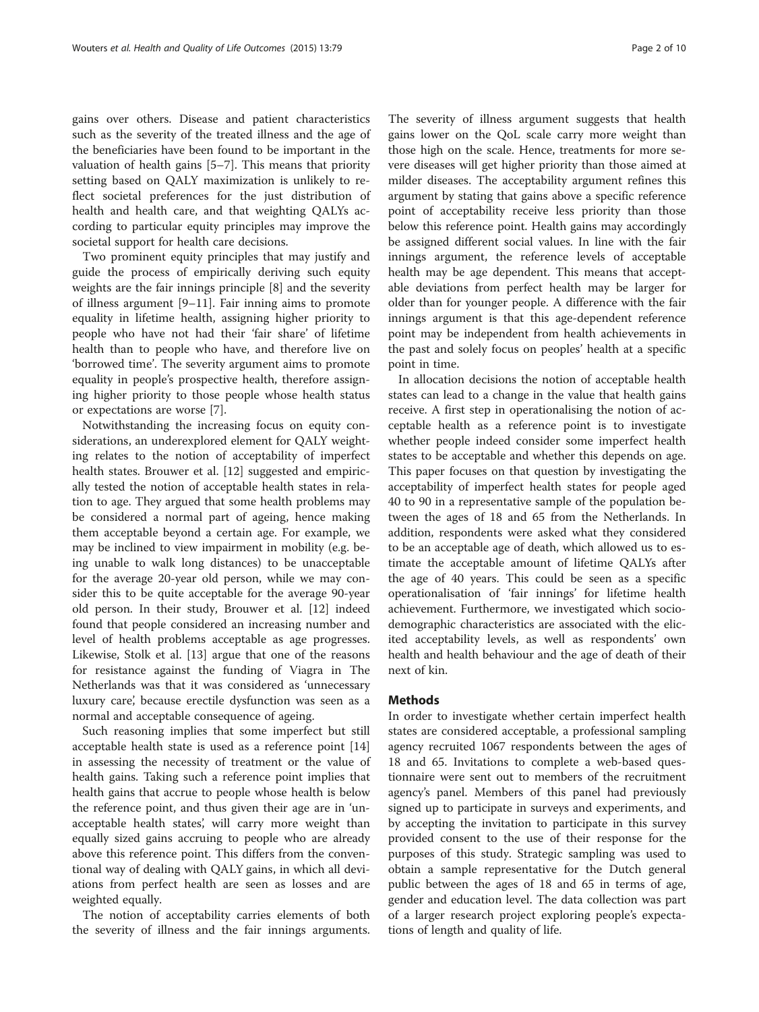gains over others. Disease and patient characteristics such as the severity of the treated illness and the age of the beneficiaries have been found to be important in the valuation of health gains [\[5](#page-9-0)–[7\]](#page-9-0). This means that priority setting based on QALY maximization is unlikely to reflect societal preferences for the just distribution of health and health care, and that weighting QALYs according to particular equity principles may improve the societal support for health care decisions.

Two prominent equity principles that may justify and guide the process of empirically deriving such equity weights are the fair innings principle [\[8](#page-9-0)] and the severity of illness argument [[9](#page-9-0)–[11\]](#page-9-0). Fair inning aims to promote equality in lifetime health, assigning higher priority to people who have not had their 'fair share' of lifetime health than to people who have, and therefore live on 'borrowed time'. The severity argument aims to promote equality in people's prospective health, therefore assigning higher priority to those people whose health status or expectations are worse [[7\]](#page-9-0).

Notwithstanding the increasing focus on equity considerations, an underexplored element for QALY weighting relates to the notion of acceptability of imperfect health states. Brouwer et al. [\[12](#page-9-0)] suggested and empirically tested the notion of acceptable health states in relation to age. They argued that some health problems may be considered a normal part of ageing, hence making them acceptable beyond a certain age. For example, we may be inclined to view impairment in mobility (e.g. being unable to walk long distances) to be unacceptable for the average 20-year old person, while we may consider this to be quite acceptable for the average 90-year old person. In their study, Brouwer et al. [\[12](#page-9-0)] indeed found that people considered an increasing number and level of health problems acceptable as age progresses. Likewise, Stolk et al. [[13](#page-9-0)] argue that one of the reasons for resistance against the funding of Viagra in The Netherlands was that it was considered as 'unnecessary luxury care', because erectile dysfunction was seen as a normal and acceptable consequence of ageing.

Such reasoning implies that some imperfect but still acceptable health state is used as a reference point [[14](#page-9-0)] in assessing the necessity of treatment or the value of health gains. Taking such a reference point implies that health gains that accrue to people whose health is below the reference point, and thus given their age are in 'unacceptable health states', will carry more weight than equally sized gains accruing to people who are already above this reference point. This differs from the conventional way of dealing with QALY gains, in which all deviations from perfect health are seen as losses and are weighted equally.

The notion of acceptability carries elements of both the severity of illness and the fair innings arguments.

gains lower on the QoL scale carry more weight than those high on the scale. Hence, treatments for more severe diseases will get higher priority than those aimed at milder diseases. The acceptability argument refines this argument by stating that gains above a specific reference point of acceptability receive less priority than those below this reference point. Health gains may accordingly be assigned different social values. In line with the fair innings argument, the reference levels of acceptable health may be age dependent. This means that acceptable deviations from perfect health may be larger for older than for younger people. A difference with the fair innings argument is that this age-dependent reference point may be independent from health achievements in the past and solely focus on peoples' health at a specific point in time.

In allocation decisions the notion of acceptable health states can lead to a change in the value that health gains receive. A first step in operationalising the notion of acceptable health as a reference point is to investigate whether people indeed consider some imperfect health states to be acceptable and whether this depends on age. This paper focuses on that question by investigating the acceptability of imperfect health states for people aged 40 to 90 in a representative sample of the population between the ages of 18 and 65 from the Netherlands. In addition, respondents were asked what they considered to be an acceptable age of death, which allowed us to estimate the acceptable amount of lifetime QALYs after the age of 40 years. This could be seen as a specific operationalisation of 'fair innings' for lifetime health achievement. Furthermore, we investigated which sociodemographic characteristics are associated with the elicited acceptability levels, as well as respondents' own health and health behaviour and the age of death of their next of kin.

## Methods

In order to investigate whether certain imperfect health states are considered acceptable, a professional sampling agency recruited 1067 respondents between the ages of 18 and 65. Invitations to complete a web-based questionnaire were sent out to members of the recruitment agency's panel. Members of this panel had previously signed up to participate in surveys and experiments, and by accepting the invitation to participate in this survey provided consent to the use of their response for the purposes of this study. Strategic sampling was used to obtain a sample representative for the Dutch general public between the ages of 18 and 65 in terms of age, gender and education level. The data collection was part of a larger research project exploring people's expectations of length and quality of life.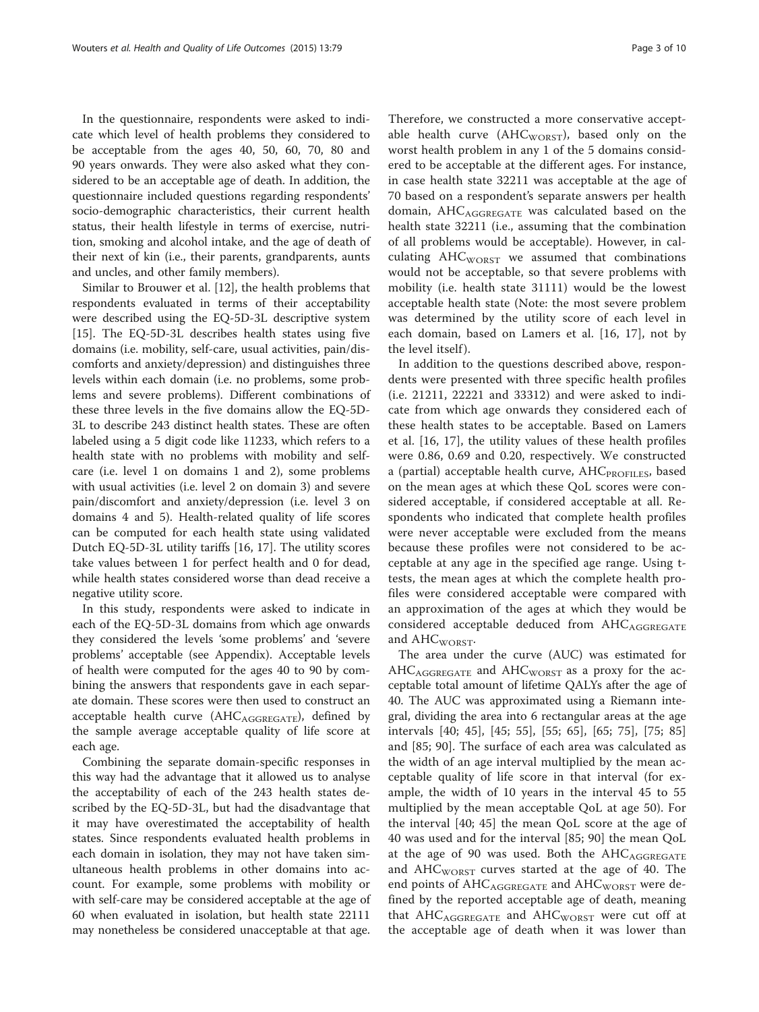In the questionnaire, respondents were asked to indicate which level of health problems they considered to be acceptable from the ages 40, 50, 60, 70, 80 and 90 years onwards. They were also asked what they considered to be an acceptable age of death. In addition, the questionnaire included questions regarding respondents' socio-demographic characteristics, their current health status, their health lifestyle in terms of exercise, nutrition, smoking and alcohol intake, and the age of death of their next of kin (i.e., their parents, grandparents, aunts and uncles, and other family members).

Similar to Brouwer et al. [\[12](#page-9-0)], the health problems that respondents evaluated in terms of their acceptability were described using the EQ-5D-3L descriptive system [[15\]](#page-9-0). The EQ-5D-3L describes health states using five domains (i.e. mobility, self-care, usual activities, pain/discomforts and anxiety/depression) and distinguishes three levels within each domain (i.e. no problems, some problems and severe problems). Different combinations of these three levels in the five domains allow the EQ-5D-3L to describe 243 distinct health states. These are often labeled using a 5 digit code like 11233, which refers to a health state with no problems with mobility and selfcare (i.e. level 1 on domains 1 and 2), some problems with usual activities (i.e. level 2 on domain 3) and severe pain/discomfort and anxiety/depression (i.e. level 3 on domains 4 and 5). Health-related quality of life scores can be computed for each health state using validated Dutch EQ-5D-3L utility tariffs [[16, 17](#page-9-0)]. The utility scores take values between 1 for perfect health and 0 for dead, while health states considered worse than dead receive a negative utility score.

In this study, respondents were asked to indicate in each of the EQ-5D-3L domains from which age onwards they considered the levels 'some problems' and 'severe problems' acceptable (see [Appendix\)](#page-8-0). Acceptable levels of health were computed for the ages 40 to 90 by combining the answers that respondents gave in each separate domain. These scores were then used to construct an acceptable health curve  $(AHC_{AGGREGATE})$ , defined by the sample average acceptable quality of life score at each age.

Combining the separate domain-specific responses in this way had the advantage that it allowed us to analyse the acceptability of each of the 243 health states described by the EQ-5D-3L, but had the disadvantage that it may have overestimated the acceptability of health states. Since respondents evaluated health problems in each domain in isolation, they may not have taken simultaneous health problems in other domains into account. For example, some problems with mobility or with self-care may be considered acceptable at the age of 60 when evaluated in isolation, but health state 22111 may nonetheless be considered unacceptable at that age.

Therefore, we constructed a more conservative acceptable health curve ( $AHC_{WORST}$ ), based only on the worst health problem in any 1 of the 5 domains considered to be acceptable at the different ages. For instance, in case health state 32211 was acceptable at the age of 70 based on a respondent's separate answers per health domain,  $AHC_{AGGREGATE}$  was calculated based on the health state 32211 (i.e., assuming that the combination of all problems would be acceptable). However, in calculating AHC<sub>WORST</sub> we assumed that combinations would not be acceptable, so that severe problems with mobility (i.e. health state 31111) would be the lowest acceptable health state (Note: the most severe problem was determined by the utility score of each level in each domain, based on Lamers et al. [[16, 17\]](#page-9-0), not by the level itself ).

In addition to the questions described above, respondents were presented with three specific health profiles (i.e. 21211, 22221 and 33312) and were asked to indicate from which age onwards they considered each of these health states to be acceptable. Based on Lamers et al. [\[16](#page-9-0), [17](#page-9-0)], the utility values of these health profiles were 0.86, 0.69 and 0.20, respectively. We constructed a (partial) acceptable health curve,  $AHC_{PROFILES}$ , based on the mean ages at which these QoL scores were considered acceptable, if considered acceptable at all. Respondents who indicated that complete health profiles were never acceptable were excluded from the means because these profiles were not considered to be acceptable at any age in the specified age range. Using ttests, the mean ages at which the complete health profiles were considered acceptable were compared with an approximation of the ages at which they would be considered acceptable deduced from AHCAGGREGATE and  $AHC_{WORST}$ .

The area under the curve (AUC) was estimated for  $AHC_{AGGREGATE}$  and  $AHC_{WORST}$  as a proxy for the acceptable total amount of lifetime QALYs after the age of 40. The AUC was approximated using a Riemann integral, dividing the area into 6 rectangular areas at the age intervals [40; 45], [45; 55], [55; 65], [65; 75], [75; 85] and [85; 90]. The surface of each area was calculated as the width of an age interval multiplied by the mean acceptable quality of life score in that interval (for example, the width of 10 years in the interval 45 to 55 multiplied by the mean acceptable QoL at age 50). For the interval [40; 45] the mean QoL score at the age of 40 was used and for the interval [85; 90] the mean QoL at the age of 90 was used. Both the AHCAGGREGATE and  $\text{AHC}_{\text{WORST}}$  curves started at the age of 40. The end points of  $AHC_{AGGREGATE}$  and  $AHC_{WORST}$  were defined by the reported acceptable age of death, meaning that  $AHC_{AGGREGATE}$  and  $AHC_{WORST}$  were cut off at the acceptable age of death when it was lower than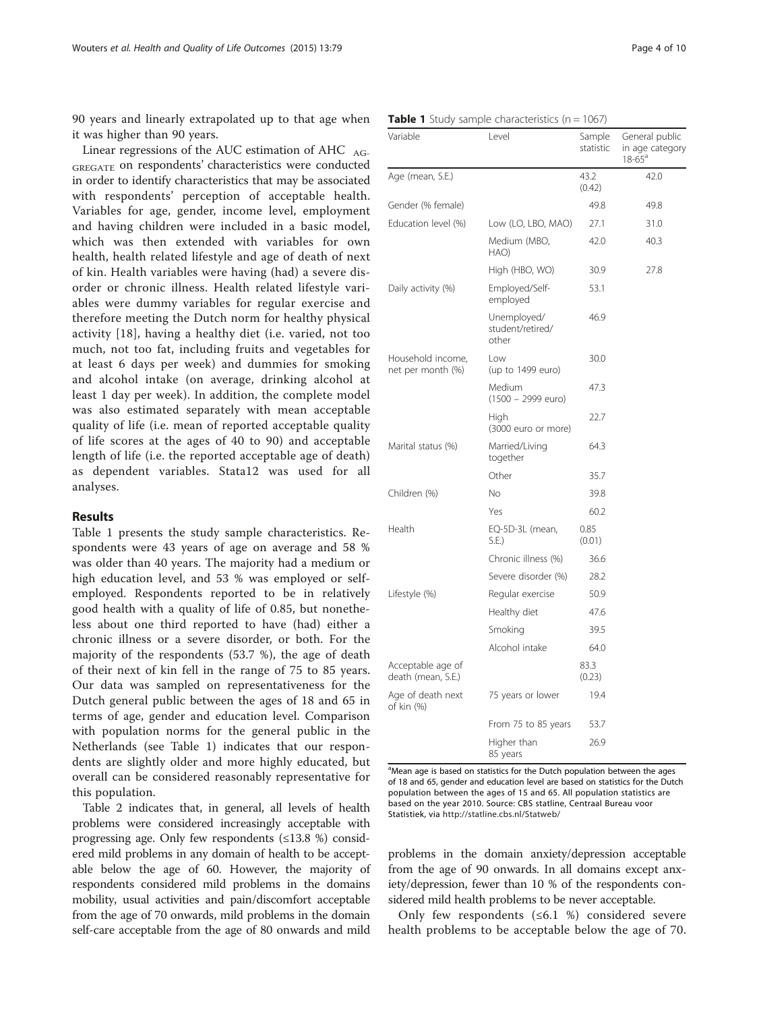90 years and linearly extrapolated up to that age when it was higher than 90 years.

Linear regressions of the AUC estimation of AHC  $_{AG}$ GREGATE on respondents' characteristics were conducted in order to identify characteristics that may be associated with respondents' perception of acceptable health. Variables for age, gender, income level, employment and having children were included in a basic model, which was then extended with variables for own health, health related lifestyle and age of death of next of kin. Health variables were having (had) a severe disorder or chronic illness. Health related lifestyle variables were dummy variables for regular exercise and therefore meeting the Dutch norm for healthy physical activity [\[18\]](#page-9-0), having a healthy diet (i.e. varied, not too much, not too fat, including fruits and vegetables for at least 6 days per week) and dummies for smoking and alcohol intake (on average, drinking alcohol at least 1 day per week). In addition, the complete model was also estimated separately with mean acceptable quality of life (i.e. mean of reported acceptable quality of life scores at the ages of 40 to 90) and acceptable length of life (i.e. the reported acceptable age of death) as dependent variables. Stata12 was used for all analyses.

# Results

Table 1 presents the study sample characteristics. Respondents were 43 years of age on average and 58 % was older than 40 years. The majority had a medium or high education level, and 53 % was employed or selfemployed. Respondents reported to be in relatively good health with a quality of life of 0.85, but nonetheless about one third reported to have (had) either a chronic illness or a severe disorder, or both. For the majority of the respondents (53.7 %), the age of death of their next of kin fell in the range of 75 to 85 years. Our data was sampled on representativeness for the Dutch general public between the ages of 18 and 65 in terms of age, gender and education level. Comparison with population norms for the general public in the Netherlands (see Table 1) indicates that our respondents are slightly older and more highly educated, but overall can be considered reasonably representative for this population.

Table [2](#page-4-0) indicates that, in general, all levels of health problems were considered increasingly acceptable with progressing age. Only few respondents (≤13.8 %) considered mild problems in any domain of health to be acceptable below the age of 60. However, the majority of respondents considered mild problems in the domains mobility, usual activities and pain/discomfort acceptable from the age of 70 onwards, mild problems in the domain self-care acceptable from the age of 80 onwards and mild

| Variable                                | Level                                    | Sample<br>statistic | General public<br>in age category<br>$18 - 65^a$ |  |
|-----------------------------------------|------------------------------------------|---------------------|--------------------------------------------------|--|
| Age (mean, S.E.)                        |                                          | 43.2<br>(0.42)      | 42.0                                             |  |
| Gender (% female)                       |                                          | 49.8                | 49.8                                             |  |
| Education level (%)                     | Low (LO, LBO, MAO)                       | 27.1                | 31.0                                             |  |
|                                         | Medium (MBO,<br>HAO                      | 42.0                | 40.3                                             |  |
|                                         | High (HBO, WO)                           | 30.9                | 27.8                                             |  |
| Daily activity (%)                      | Employed/Self-<br>employed               | 53.1                |                                                  |  |
|                                         | Unemployed/<br>student/retired/<br>other | 46.9                |                                                  |  |
| Household income,<br>net per month (%)  | Low<br>(up to 1499 euro)                 | 30.0                |                                                  |  |
|                                         | Medium<br>$(1500 - 2999$ euro)           | 47.3                |                                                  |  |
|                                         | High<br>(3000 euro or more)              | 22.7                |                                                  |  |
| Marital status (%)                      | Married/Living<br>together               | 64.3                |                                                  |  |
|                                         | Other                                    | 35.7                |                                                  |  |
| Children (%)                            | No                                       | 39.8                |                                                  |  |
|                                         | Yes                                      | 60.2                |                                                  |  |
| Health                                  | EQ-5D-3L (mean,<br>S.E.                  | 0.85<br>(0.01)      |                                                  |  |
|                                         | Chronic illness (%)                      | 36.6                |                                                  |  |
|                                         | Severe disorder (%)                      | 28.2                |                                                  |  |
| Lifestyle (%)                           | Regular exercise                         | 50.9                |                                                  |  |
|                                         | Healthy diet                             | 47.6                |                                                  |  |
|                                         | Smoking                                  | 39.5                |                                                  |  |
|                                         | Alcohol intake                           | 64.0                |                                                  |  |
| Acceptable age of<br>death (mean, S.E.) |                                          | 83.3<br>(0.23)      |                                                  |  |
| Age of death next<br>of kin (%)         | 75 years or lower                        | 19.4                |                                                  |  |
|                                         | From 75 to 85 years                      | 53.7                |                                                  |  |
|                                         | Higher than<br>85 years                  | 26.9                |                                                  |  |

#### **Table 1** Study sample characteristics ( $n = 1067$ )

<sup>a</sup>Mean age is based on statistics for the Dutch population between the ages of 18 and 65, gender and education level are based on statistics for the Dutch population between the ages of 15 and 65. All population statistics are based on the year 2010. Source: CBS statline, Centraal Bureau voor Statistiek, via <http://statline.cbs.nl/Statweb/>

problems in the domain anxiety/depression acceptable from the age of 90 onwards. In all domains except anxiety/depression, fewer than 10 % of the respondents considered mild health problems to be never acceptable.

Only few respondents (≤6.1 %) considered severe health problems to be acceptable below the age of 70.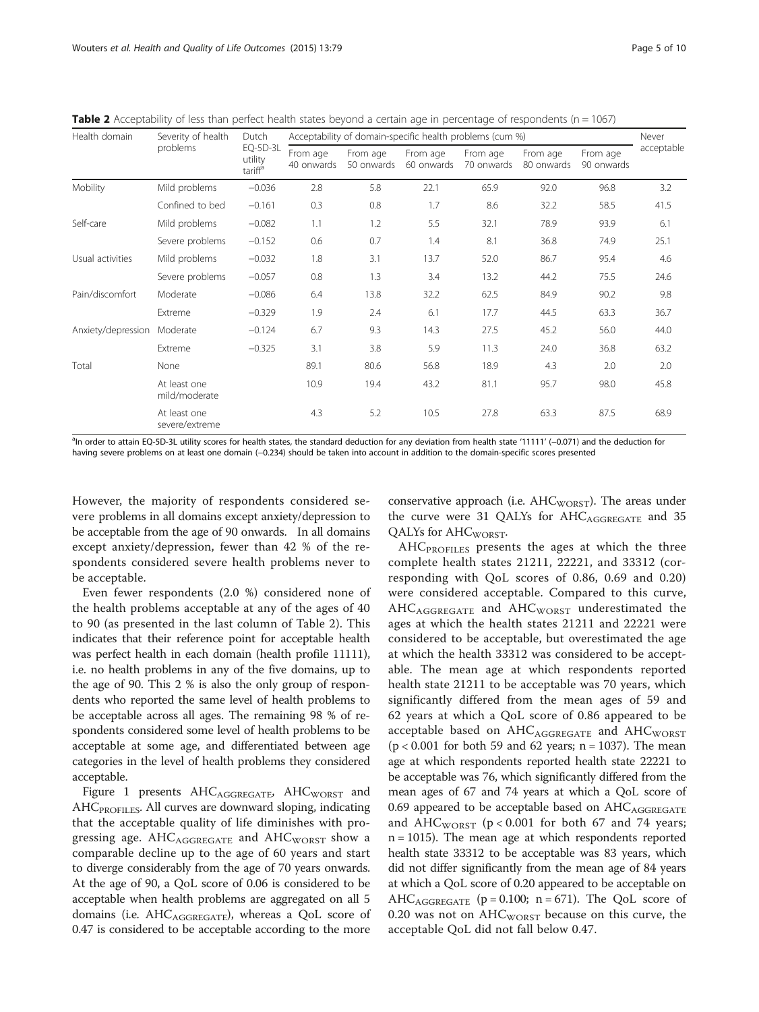<span id="page-4-0"></span>Table 2 Acceptability of less than perfect health states beyond a certain age in percentage of respondents ( $n = 1067$ )

| Health domain      | Severity of health             | Dutch<br>EQ-5D-3L<br>utility<br>tariff <sup>a</sup> | Acceptability of domain-specific health problems (cum %) |                        |                        |                        |                        |                        | Never      |
|--------------------|--------------------------------|-----------------------------------------------------|----------------------------------------------------------|------------------------|------------------------|------------------------|------------------------|------------------------|------------|
|                    | problems                       |                                                     | From age<br>40 onwards                                   | From age<br>50 onwards | From age<br>60 onwards | From age<br>70 onwards | From age<br>80 onwards | From age<br>90 onwards | acceptable |
| <b>Mobility</b>    | Mild problems                  | $-0.036$                                            | 2.8                                                      | 5.8                    | 22.1                   | 65.9                   | 92.0                   | 96.8                   | 3.2        |
|                    | Confined to bed                | $-0.161$                                            | 0.3                                                      | 0.8                    | 1.7                    | 8.6                    | 32.2                   | 58.5                   | 41.5       |
| Self-care          | Mild problems                  | $-0.082$                                            | 1.1                                                      | 1.2                    | 5.5                    | 32.1                   | 78.9                   | 93.9                   | 6.1        |
|                    | Severe problems                | $-0.152$                                            | 0.6                                                      | 0.7                    | 1.4                    | 8.1                    | 36.8                   | 74.9                   | 25.1       |
| Usual activities   | Mild problems                  | $-0.032$                                            | 1.8                                                      | 3.1                    | 13.7                   | 52.0                   | 86.7                   | 95.4                   | 4.6        |
|                    | Severe problems                | $-0.057$                                            | 0.8                                                      | 1.3                    | 3.4                    | 13.2                   | 44.2                   | 75.5                   | 24.6       |
| Pain/discomfort    | Moderate                       | $-0.086$                                            | 6.4                                                      | 13.8                   | 32.2                   | 62.5                   | 84.9                   | 90.2                   | 9.8        |
|                    | Extreme                        | $-0.329$                                            | 1.9                                                      | 2.4                    | 6.1                    | 17.7                   | 44.5                   | 63.3                   | 36.7       |
| Anxiety/depression | Moderate<br>$-0.124$           |                                                     | 6.7                                                      | 9.3                    | 14.3                   | 27.5                   | 45.2                   | 56.0                   | 44.0       |
|                    | Extreme                        | $-0.325$                                            | 3.1                                                      | 3.8                    | 5.9                    | 11.3                   | 24.0                   | 36.8                   | 63.2       |
| Total              | None                           |                                                     | 89.1                                                     | 80.6                   | 56.8                   | 18.9                   | 4.3                    | 2.0                    | 2.0        |
|                    | At least one<br>mild/moderate  |                                                     | 10.9                                                     | 19.4                   | 43.2                   | 81.1                   | 95.7                   | 98.0                   | 45.8       |
|                    | At least one<br>severe/extreme |                                                     | 4.3                                                      | 5.2                    | 10.5                   | 27.8                   | 63.3                   | 87.5                   | 68.9       |

<sup>a</sup>In order to attain EQ-5D-3L utility scores for health states, the standard deduction for any deviation from health state '11111' (−0.071) and the deduction for having severe problems on at least one domain (−0.234) should be taken into account in addition to the domain-specific scores presented

However, the majority of respondents considered severe problems in all domains except anxiety/depression to be acceptable from the age of 90 onwards. In all domains except anxiety/depression, fewer than 42 % of the respondents considered severe health problems never to be acceptable.

Even fewer respondents (2.0 %) considered none of the health problems acceptable at any of the ages of 40 to 90 (as presented in the last column of Table 2). This indicates that their reference point for acceptable health was perfect health in each domain (health profile 11111), i.e. no health problems in any of the five domains, up to the age of 90. This 2 % is also the only group of respondents who reported the same level of health problems to be acceptable across all ages. The remaining 98 % of respondents considered some level of health problems to be acceptable at some age, and differentiated between age categories in the level of health problems they considered acceptable.

Figure [1](#page-5-0) presents AHCAGGREGATE, AHCWORST and AHC<sub>PROFILES</sub>. All curves are downward sloping, indicating that the acceptable quality of life diminishes with progressing age. AHCAGGREGATE and AHCWORST show a comparable decline up to the age of 60 years and start to diverge considerably from the age of 70 years onwards. At the age of 90, a QoL score of 0.06 is considered to be acceptable when health problems are aggregated on all 5 domains (i.e.  $AHC_{AGGREGATE}$ ), whereas a QoL score of 0.47 is considered to be acceptable according to the more

conservative approach (i.e.  $AHC_{WORST}$ ). The areas under the curve were 31 QALYs for AHCAGGREGATE and 35 QALYs for AHC<sub>WORST</sub>.

 $AHC_{PROFILES}$  presents the ages at which the three complete health states 21211, 22221, and 33312 (corresponding with QoL scores of 0.86, 0.69 and 0.20) were considered acceptable. Compared to this curve, AHC<sub>AGGREGATE</sub> and AHC<sub>WORST</sub> underestimated the ages at which the health states 21211 and 22221 were considered to be acceptable, but overestimated the age at which the health 33312 was considered to be acceptable. The mean age at which respondents reported health state 21211 to be acceptable was 70 years, which significantly differed from the mean ages of 59 and 62 years at which a QoL score of 0.86 appeared to be acceptable based on AHCAGGREGATE and AHCWORST  $(p < 0.001$  for both 59 and 62 years; n = 1037). The mean age at which respondents reported health state 22221 to be acceptable was 76, which significantly differed from the mean ages of 67 and 74 years at which a QoL score of 0.69 appeared to be acceptable based on  $AHC_{AGGREGATE}$ and  $AHC_{WORST}$  (p < 0.001 for both 67 and 74 years; n = 1015). The mean age at which respondents reported health state 33312 to be acceptable was 83 years, which did not differ significantly from the mean age of 84 years at which a QoL score of 0.20 appeared to be acceptable on AHC<sub>AGGREGATE</sub> ( $p = 0.100$ ;  $n = 671$ ). The QoL score of 0.20 was not on  $AHC_{WORST}$  because on this curve, the acceptable QoL did not fall below 0.47.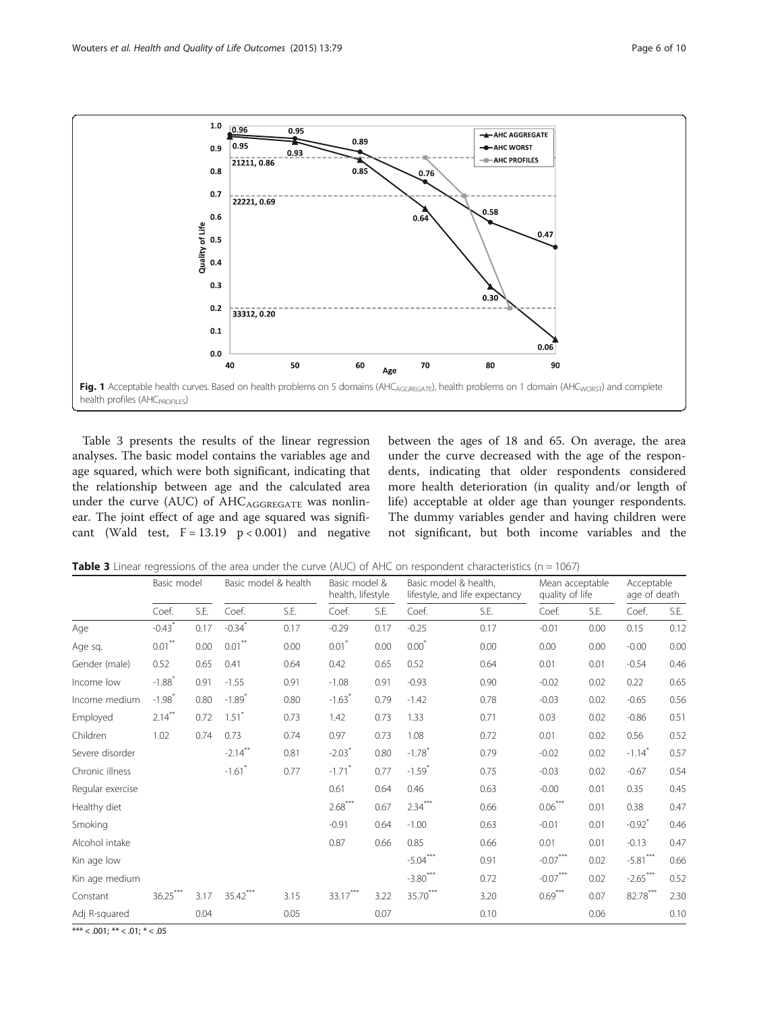<span id="page-5-0"></span>

Table 3 presents the results of the linear regression analyses. The basic model contains the variables age and age squared, which were both significant, indicating that the relationship between age and the calculated area under the curve (AUC) of AHCAGGREGATE was nonlinear. The joint effect of age and age squared was significant (Wald test,  $F = 13.19$   $p < 0.001$ ) and negative between the ages of 18 and 65. On average, the area under the curve decreased with the age of the respondents, indicating that older respondents considered more health deterioration (in quality and/or length of life) acceptable at older age than younger respondents. The dummy variables gender and having children were not significant, but both income variables and the

**Table 3** Linear regressions of the area under the curve (AUC) of AHC on respondent characteristics ( $n = 1067$ )

|                  | Basic model          |      | Basic model & health |      | Basic model &<br>health, lifestyle |      | Basic model & health,<br>lifestyle, and life expectancy |      | Mean acceptable<br>quality of life |      | Acceptable<br>age of death |      |
|------------------|----------------------|------|----------------------|------|------------------------------------|------|---------------------------------------------------------|------|------------------------------------|------|----------------------------|------|
|                  | Coef.                | S.E. | Coef.                | S.E. | Coef.                              | S.E. | Coef.                                                   | S.E. | Coef.                              | S.E. | Coef.                      | S.E. |
| Age              | $-0.43$ <sup>*</sup> | 0.17 | $-0.34$ <sup>*</sup> | 0.17 | $-0.29$                            | 0.17 | $-0.25$                                                 | 0.17 | $-0.01$                            | 0.00 | 0.15                       | 0.12 |
| Age sq.          | $0.01***$            | 0.00 | $0.01***$            | 0.00 | $0.01$ <sup>*</sup>                | 0.00 | $0.00*$                                                 | 0.00 | 0.00                               | 0.00 | $-0.00$                    | 0.00 |
| Gender (male)    | 0.52                 | 0.65 | 0.41                 | 0.64 | 0.42                               | 0.65 | 0.52                                                    | 0.64 | 0.01                               | 0.01 | $-0.54$                    | 0.46 |
| Income low       | $-1.88$ <sup>*</sup> | 0.91 | $-1.55$              | 0.91 | $-1.08$                            | 0.91 | $-0.93$                                                 | 0.90 | $-0.02$                            | 0.02 | 0.22                       | 0.65 |
| Income medium    | $-1.98$ <sup>*</sup> | 0.80 | $-1.89$ <sup>*</sup> | 0.80 | $-1.63$ <sup>*</sup>               | 0.79 | $-1.42$                                                 | 0.78 | $-0.03$                            | 0.02 | $-0.65$                    | 0.56 |
| Employed         | $2.14***$            | 0.72 | $1.51$ <sup>*</sup>  | 0.73 | 1.42                               | 0.73 | 1.33                                                    | 0.71 | 0.03                               | 0.02 | $-0.86$                    | 0.51 |
| Children         | 1.02                 | 0.74 | 0.73                 | 0.74 | 0.97                               | 0.73 | 1.08                                                    | 0.72 | 0.01                               | 0.02 | 0.56                       | 0.52 |
| Severe disorder  |                      |      | $-2.14***$           | 0.81 | $-2.03$ <sup>*</sup>               | 0.80 | $-1.78$ <sup>*</sup>                                    | 0.79 | $-0.02$                            | 0.02 | $-1.14$ <sup>*</sup>       | 0.57 |
| Chronic illness  |                      |      | $-1.61$ <sup>*</sup> | 0.77 | $-1.71$ <sup>*</sup>               | 0.77 | $-1.59$ <sup>*</sup>                                    | 0.75 | $-0.03$                            | 0.02 | $-0.67$                    | 0.54 |
| Regular exercise |                      |      |                      |      | 0.61                               | 0.64 | 0.46                                                    | 0.63 | $-0.00$                            | 0.01 | 0.35                       | 0.45 |
| Healthy diet     |                      |      |                      |      | $2.68***$                          | 0.67 | $2.34***$                                               | 0.66 | $0.06***$                          | 0.01 | 0.38                       | 0.47 |
| Smoking          |                      |      |                      |      | $-0.91$                            | 0.64 | $-1.00$                                                 | 0.63 | $-0.01$                            | 0.01 | $-0.92$ <sup>*</sup>       | 0.46 |
| Alcohol intake   |                      |      |                      |      | 0.87                               | 0.66 | 0.85                                                    | 0.66 | 0.01                               | 0.01 | $-0.13$                    | 0.47 |
| Kin age low      |                      |      |                      |      |                                    |      | $-5.04***$                                              | 0.91 | $-0.07***$                         | 0.02 | $-5.81***$                 | 0.66 |
| Kin age medium   |                      |      |                      |      |                                    |      | $-3.80$ ***                                             | 0.72 | $-0.07***$                         | 0.02 | $-2.65***$                 | 0.52 |
| Constant         | $36.25***$           | 3.17 | $35.42***$           | 3.15 | $33.17***$                         | 3.22 | 35.70***                                                | 3.20 | $0.69***$                          | 0.07 | $82.78***$                 | 2.30 |
| Adj R-squared    |                      | 0.04 |                      | 0.05 |                                    | 0.07 |                                                         | 0.10 |                                    | 0.06 |                            | 0.10 |

\*\*\*  $< 0.001;$  \*\*  $< 0.01;$  \*  $< 0.05$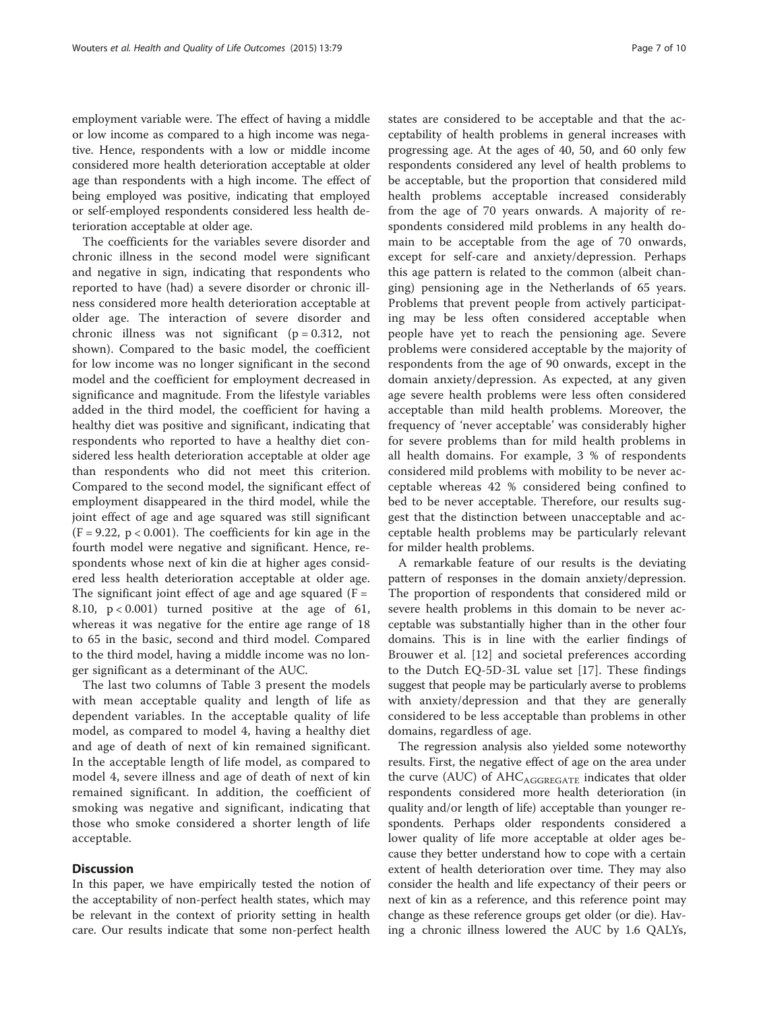employment variable were. The effect of having a middle or low income as compared to a high income was negative. Hence, respondents with a low or middle income considered more health deterioration acceptable at older age than respondents with a high income. The effect of being employed was positive, indicating that employed or self-employed respondents considered less health deterioration acceptable at older age.

The coefficients for the variables severe disorder and chronic illness in the second model were significant and negative in sign, indicating that respondents who reported to have (had) a severe disorder or chronic illness considered more health deterioration acceptable at older age. The interaction of severe disorder and chronic illness was not significant  $(p = 0.312, not)$ shown). Compared to the basic model, the coefficient for low income was no longer significant in the second model and the coefficient for employment decreased in significance and magnitude. From the lifestyle variables added in the third model, the coefficient for having a healthy diet was positive and significant, indicating that respondents who reported to have a healthy diet considered less health deterioration acceptable at older age than respondents who did not meet this criterion. Compared to the second model, the significant effect of employment disappeared in the third model, while the joint effect of age and age squared was still significant  $(F = 9.22, p < 0.001)$ . The coefficients for kin age in the fourth model were negative and significant. Hence, respondents whose next of kin die at higher ages considered less health deterioration acceptable at older age. The significant joint effect of age and age squared  $(F =$ 8.10,  $p < 0.001$ ) turned positive at the age of 61, whereas it was negative for the entire age range of 18 to 65 in the basic, second and third model. Compared to the third model, having a middle income was no longer significant as a determinant of the AUC.

The last two columns of Table [3](#page-5-0) present the models with mean acceptable quality and length of life as dependent variables. In the acceptable quality of life model, as compared to model 4, having a healthy diet and age of death of next of kin remained significant. In the acceptable length of life model, as compared to model 4, severe illness and age of death of next of kin remained significant. In addition, the coefficient of smoking was negative and significant, indicating that those who smoke considered a shorter length of life acceptable.

# **Discussion**

In this paper, we have empirically tested the notion of the acceptability of non-perfect health states, which may be relevant in the context of priority setting in health care. Our results indicate that some non-perfect health

states are considered to be acceptable and that the acceptability of health problems in general increases with progressing age. At the ages of 40, 50, and 60 only few respondents considered any level of health problems to be acceptable, but the proportion that considered mild health problems acceptable increased considerably from the age of 70 years onwards. A majority of respondents considered mild problems in any health domain to be acceptable from the age of 70 onwards, except for self-care and anxiety/depression. Perhaps this age pattern is related to the common (albeit changing) pensioning age in the Netherlands of 65 years. Problems that prevent people from actively participating may be less often considered acceptable when people have yet to reach the pensioning age. Severe problems were considered acceptable by the majority of respondents from the age of 90 onwards, except in the domain anxiety/depression. As expected, at any given age severe health problems were less often considered acceptable than mild health problems. Moreover, the frequency of 'never acceptable' was considerably higher for severe problems than for mild health problems in all health domains. For example, 3 % of respondents considered mild problems with mobility to be never acceptable whereas 42 % considered being confined to bed to be never acceptable. Therefore, our results suggest that the distinction between unacceptable and acceptable health problems may be particularly relevant for milder health problems.

A remarkable feature of our results is the deviating pattern of responses in the domain anxiety/depression. The proportion of respondents that considered mild or severe health problems in this domain to be never acceptable was substantially higher than in the other four domains. This is in line with the earlier findings of Brouwer et al. [\[12](#page-9-0)] and societal preferences according to the Dutch EQ-5D-3L value set [[17\]](#page-9-0). These findings suggest that people may be particularly averse to problems with anxiety/depression and that they are generally considered to be less acceptable than problems in other domains, regardless of age.

The regression analysis also yielded some noteworthy results. First, the negative effect of age on the area under the curve (AUC) of  $AHC_{AGGREGATE}$  indicates that older respondents considered more health deterioration (in quality and/or length of life) acceptable than younger respondents. Perhaps older respondents considered a lower quality of life more acceptable at older ages because they better understand how to cope with a certain extent of health deterioration over time. They may also consider the health and life expectancy of their peers or next of kin as a reference, and this reference point may change as these reference groups get older (or die). Having a chronic illness lowered the AUC by 1.6 QALYs,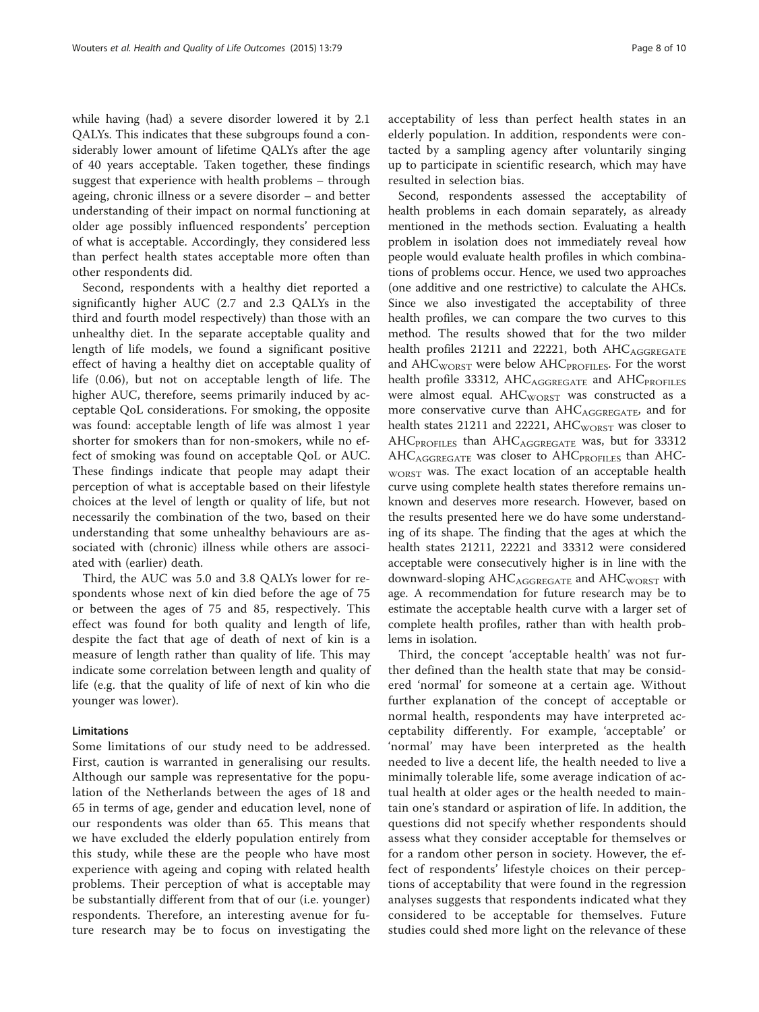while having (had) a severe disorder lowered it by 2.1 QALYs. This indicates that these subgroups found a considerably lower amount of lifetime QALYs after the age of 40 years acceptable. Taken together, these findings suggest that experience with health problems – through ageing, chronic illness or a severe disorder – and better understanding of their impact on normal functioning at older age possibly influenced respondents' perception of what is acceptable. Accordingly, they considered less than perfect health states acceptable more often than other respondents did.

Second, respondents with a healthy diet reported a significantly higher AUC (2.7 and 2.3 QALYs in the third and fourth model respectively) than those with an unhealthy diet. In the separate acceptable quality and length of life models, we found a significant positive effect of having a healthy diet on acceptable quality of life (0.06), but not on acceptable length of life. The higher AUC, therefore, seems primarily induced by acceptable QoL considerations. For smoking, the opposite was found: acceptable length of life was almost 1 year shorter for smokers than for non-smokers, while no effect of smoking was found on acceptable QoL or AUC. These findings indicate that people may adapt their perception of what is acceptable based on their lifestyle choices at the level of length or quality of life, but not necessarily the combination of the two, based on their understanding that some unhealthy behaviours are associated with (chronic) illness while others are associated with (earlier) death.

Third, the AUC was 5.0 and 3.8 QALYs lower for respondents whose next of kin died before the age of 75 or between the ages of 75 and 85, respectively. This effect was found for both quality and length of life, despite the fact that age of death of next of kin is a measure of length rather than quality of life. This may indicate some correlation between length and quality of life (e.g. that the quality of life of next of kin who die younger was lower).

# Limitations

Some limitations of our study need to be addressed. First, caution is warranted in generalising our results. Although our sample was representative for the population of the Netherlands between the ages of 18 and 65 in terms of age, gender and education level, none of our respondents was older than 65. This means that we have excluded the elderly population entirely from this study, while these are the people who have most experience with ageing and coping with related health problems. Their perception of what is acceptable may be substantially different from that of our (i.e. younger) respondents. Therefore, an interesting avenue for future research may be to focus on investigating the acceptability of less than perfect health states in an elderly population. In addition, respondents were contacted by a sampling agency after voluntarily singing up to participate in scientific research, which may have resulted in selection bias.

Second, respondents assessed the acceptability of health problems in each domain separately, as already mentioned in the methods section. Evaluating a health problem in isolation does not immediately reveal how people would evaluate health profiles in which combinations of problems occur. Hence, we used two approaches (one additive and one restrictive) to calculate the AHCs. Since we also investigated the acceptability of three health profiles, we can compare the two curves to this method. The results showed that for the two milder health profiles  $21211$  and  $22221$ , both  $AHC<sub>AGGREGATE</sub>$ and  $AHC_{WORST}$  were below  $AHC_{PROFILES}$ . For the worst health profile 33312,  $AHC_{AGGREGATE}$  and  $AHC_{PROFILES}$ were almost equal. AHC<sub>WORST</sub> was constructed as a more conservative curve than  $AHC_{AGGREGATE}$ , and for health states 21211 and 22221,  $AHC_{WORST}$  was closer to  $AHC_{PROFILES}$  than  $AHC_{AGGREGATE}$  was, but for 33312  $AHC_{AGGREGATE}$  was closer to  $AHC_{PROFILES}$  than  $AHC$ -WORST was. The exact location of an acceptable health curve using complete health states therefore remains unknown and deserves more research. However, based on the results presented here we do have some understanding of its shape. The finding that the ages at which the health states 21211, 22221 and 33312 were considered acceptable were consecutively higher is in line with the downward-sloping  $AHC_{AGGREGATE}$  and  $AHC_{WORST}$  with age. A recommendation for future research may be to estimate the acceptable health curve with a larger set of complete health profiles, rather than with health problems in isolation.

Third, the concept 'acceptable health' was not further defined than the health state that may be considered 'normal' for someone at a certain age. Without further explanation of the concept of acceptable or normal health, respondents may have interpreted acceptability differently. For example, 'acceptable' or 'normal' may have been interpreted as the health needed to live a decent life, the health needed to live a minimally tolerable life, some average indication of actual health at older ages or the health needed to maintain one's standard or aspiration of life. In addition, the questions did not specify whether respondents should assess what they consider acceptable for themselves or for a random other person in society. However, the effect of respondents' lifestyle choices on their perceptions of acceptability that were found in the regression analyses suggests that respondents indicated what they considered to be acceptable for themselves. Future studies could shed more light on the relevance of these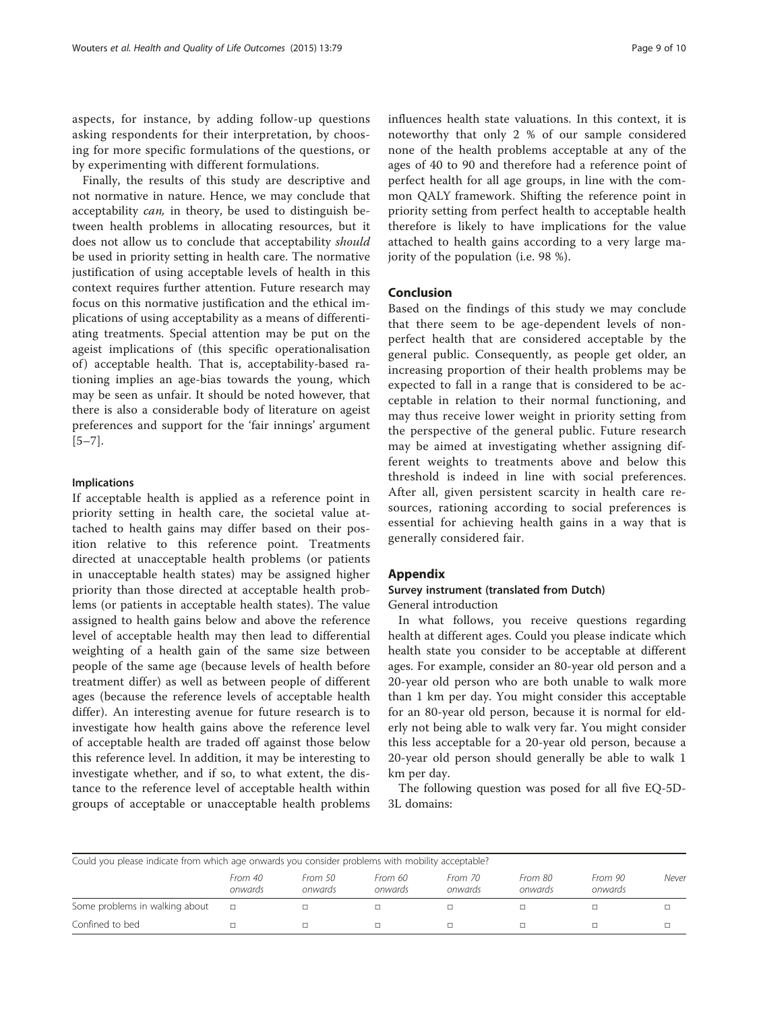<span id="page-8-0"></span>aspects, for instance, by adding follow-up questions asking respondents for their interpretation, by choosing for more specific formulations of the questions, or by experimenting with different formulations.

Finally, the results of this study are descriptive and not normative in nature. Hence, we may conclude that acceptability can, in theory, be used to distinguish between health problems in allocating resources, but it does not allow us to conclude that acceptability should be used in priority setting in health care. The normative justification of using acceptable levels of health in this context requires further attention. Future research may focus on this normative justification and the ethical implications of using acceptability as a means of differentiating treatments. Special attention may be put on the ageist implications of (this specific operationalisation of) acceptable health. That is, acceptability-based rationing implies an age-bias towards the young, which may be seen as unfair. It should be noted however, that there is also a considerable body of literature on ageist preferences and support for the 'fair innings' argument [[5](#page-9-0)–[7\]](#page-9-0).

#### Implications

If acceptable health is applied as a reference point in priority setting in health care, the societal value attached to health gains may differ based on their position relative to this reference point. Treatments directed at unacceptable health problems (or patients in unacceptable health states) may be assigned higher priority than those directed at acceptable health problems (or patients in acceptable health states). The value assigned to health gains below and above the reference level of acceptable health may then lead to differential weighting of a health gain of the same size between people of the same age (because levels of health before treatment differ) as well as between people of different ages (because the reference levels of acceptable health differ). An interesting avenue for future research is to investigate how health gains above the reference level of acceptable health are traded off against those below this reference level. In addition, it may be interesting to investigate whether, and if so, to what extent, the distance to the reference level of acceptable health within groups of acceptable or unacceptable health problems

influences health state valuations. In this context, it is noteworthy that only 2 % of our sample considered none of the health problems acceptable at any of the ages of 40 to 90 and therefore had a reference point of perfect health for all age groups, in line with the common QALY framework. Shifting the reference point in priority setting from perfect health to acceptable health therefore is likely to have implications for the value attached to health gains according to a very large majority of the population (i.e. 98 %).

# Conclusion

Based on the findings of this study we may conclude that there seem to be age-dependent levels of nonperfect health that are considered acceptable by the general public. Consequently, as people get older, an increasing proportion of their health problems may be expected to fall in a range that is considered to be acceptable in relation to their normal functioning, and may thus receive lower weight in priority setting from the perspective of the general public. Future research may be aimed at investigating whether assigning different weights to treatments above and below this threshold is indeed in line with social preferences. After all, given persistent scarcity in health care resources, rationing according to social preferences is essential for achieving health gains in a way that is generally considered fair.

# Appendix

# Survey instrument (translated from Dutch) General introduction

In what follows, you receive questions regarding health at different ages. Could you please indicate which health state you consider to be acceptable at different ages. For example, consider an 80-year old person and a 20-year old person who are both unable to walk more than 1 km per day. You might consider this acceptable for an 80-year old person, because it is normal for elderly not being able to walk very far. You might consider this less acceptable for a 20-year old person, because a 20-year old person should generally be able to walk 1 km per day.

The following question was posed for all five EQ-5D-3L domains:

| Could you please indicate from which age onwards you consider problems with mobility acceptable? |                    |                    |                    |                    |                    |                    |       |
|--------------------------------------------------------------------------------------------------|--------------------|--------------------|--------------------|--------------------|--------------------|--------------------|-------|
|                                                                                                  | From 40<br>onwards | From 50<br>onwards | From 60<br>onwards | From 70<br>onwards | From 80<br>onwards | From 90<br>onwards | Never |
| Some problems in walking about                                                                   |                    |                    |                    |                    |                    |                    |       |
| Confined to bed                                                                                  |                    |                    |                    |                    |                    |                    |       |